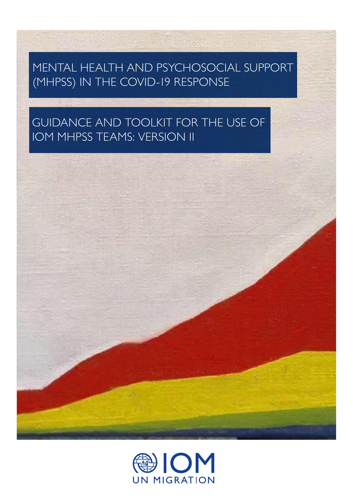## MENTAL HEALTH AND PSYCHOSOCIAL SUPPORT (MHPSS) IN THE COVID-19 RESPONSE

## GUIDANCE AND TOOLKIT FOR THE USE OF IOM MHPSS TEAMS: VERSION II



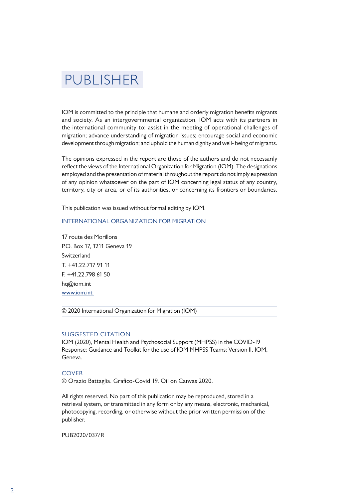## PUBLISHER

IOM is committed to the principle that humane and orderly migration benefits migrants and society. As an intergovernmental organization, IOM acts with its partners in the international community to: assist in the meeting of operational challenges of migration; advance understanding of migration issues; encourage social and economic development through migration; and uphold the human dignity and well- being of migrants.

The opinions expressed in the report are those of the authors and do not necessarily reflect the views of the International Organization for Migration (IOM). The designations employed and the presentation of material throughout the report do not imply expression of any opinion whatsoever on the part of IOM concerning legal status of any country, territory, city or area, or of its authorities, or concerning its frontiers or boundaries.

This publication was issued without formal editing by IOM.

#### INTERNATIONAL ORGANIZATION FOR MIGRATION

17 route des Morillons P.O. Box 17, 1211 Geneva 19 Switzerland  $T + 41.22.717.91.11$ F. +41.22.798 61 50 hq@iom.int [www.iom.int](http://iom.int) 

© 2020 International Organization for Migration (IOM)

#### SUGGESTED CITATION

IOM (2020), Mental Health and Psychosocial Support (MHPSS) in the COVID-19 Response: Guidance and Toolkit for the use of IOM MHPSS Teams: Version II. IOM, Geneva.

#### **COVER**

© Orazio Battaglia. Grafico-Covid 19. Oil on Canvas 2020.

All rights reserved. No part of this publication may be reproduced, stored in a retrieval system, or transmitted in any form or by any means, electronic, mechanical, photocopying, recording, or otherwise without the prior written permission of the publisher.

PUB2020/037/R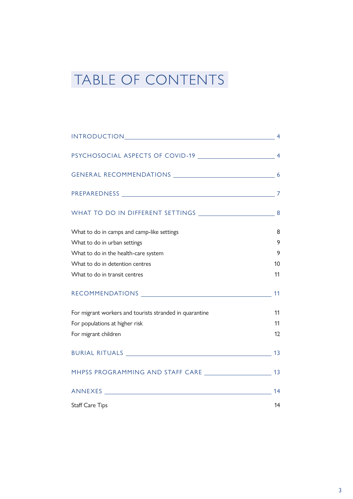# TABLE OF CONTENTS

| INTRODUCTION 4                                          |                |
|---------------------------------------------------------|----------------|
|                                                         |                |
|                                                         |                |
|                                                         | $\overline{7}$ |
|                                                         |                |
| What to do in camps and camp-like settings              | 8              |
| What to do in urban settings                            | 9              |
| What to do in the health-care system                    | 9              |
| What to do in detention centres                         | 10             |
| What to do in transit centres                           | 11             |
|                                                         | 11             |
| For migrant workers and tourists stranded in quarantine | 11             |
| For populations at higher risk                          | 11             |
| For migrant children                                    | 12             |
|                                                         | 13             |
|                                                         | 13             |
|                                                         | 14             |
| <b>Staff Care Tips</b>                                  | 14             |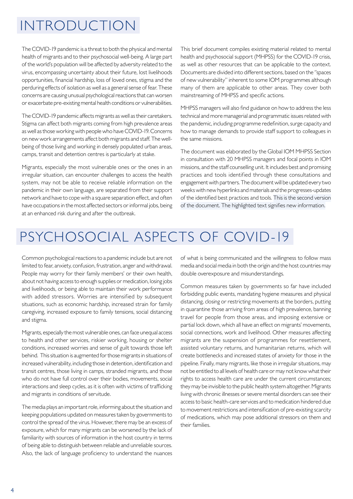## <span id="page-3-0"></span>INTRODUCTION

The COVID-19 pandemic is a threat to both the physical and mental health of migrants and to their psychosocial well-being. A large part of the world's population will be affected by adversity related to the virus, encompassing uncertainty about their future, lost livelihoods opportunities, financial hardship, loss of loved ones, stigma and the perduring effects of isolation as well as a general sense of fear. These concerns are causing unusual psychological reactions that can worsen or exacerbate pre-existing mental health conditions or vulnerabilities.

The COVID-19 pandemic affects migrants as well as their caretakers. Stigma can affect both migrants coming from high prevalence areas as well as those working with people who have COVID-19. Concerns on new work arrangements affect both migrants and staff. The wellbeing of those living and working in densely populated urban areas, camps, transit and detention centres is particularly at stake.

Migrants, especially the most vulnerable ones or the ones in an irregular situation, can encounter challenges to access the health system, may not be able to receive reliable information on the pandemic in their own language, are separated from their support network and have to cope with a square separation effect, and often have occupations in the most affected sectors or informal jobs, being at an enhanced risk during and after the outbreak.

This brief document compiles existing material related to mental health and psychosocial support (MHPSS) for the COVID-19 crisis, as well as other resources that can be applicable to the context. Documents are divided into different sections, based on the ''spaces of new vulnerability" inherent to some IOM programmes although many of them are applicable to other areas. They cover both mainstreaming of MHPSS and specific actions.

MHPSS managers will also find guidance on how to address the less technical and more managerial and programmatic issues related with the pandemic, including programme redefinition, surge capacity and how to manage demands to provide staff support to colleagues in the same missions.

The document was elaborated by the Global IOM MHPSS Section in consultation with 20 MHPSS managers and focal points in IOM missions, and the staff counselling unit. It includes best and promising practices and tools identified through these consultations and engagement with partners. The document will be updated every two weeks with new hyperlinks and materials and the progresses-updates of the identified best practices and tools. This is the second version of the document. The highlighted text signifies new information.

# PSYCHOSOCIAL ASPECTS OF COVID-19

Common psychological reactions to a pandemic include but are not limited to fear, anxiety, confusion, frustration, anger and withdrawal. People may worry for their family members' or their own health, about not having access to enough supplies or medication, losing jobs and livelihoods, or being able to maintain their work performance with added stressors. Worries are intensified by subsequent situations, such as economic hardship, increased strain for family caregiving, increased exposure to family tensions, social distancing and stigma.

Migrants, especially the most vulnerable ones, can face unequal access to health and other services, riskier working, housing or shelter conditions, increased worries and sense of guilt towards those left behind. This situation is augmented for those migrants in situations of increased vulnerability, including those in detention, identification and transit centres, those living in camps, stranded migrants, and those who do not have full control over their bodies, movements, social interactions and sleep cycles, as it is often with victims of trafficking and migrants in conditions of servitude.

The media plays an important role, informing about the situation and keeping populations updated on measures taken by governments to control the spread of the virus. However, there may be an excess of exposure, which for many migrants can be worsened by the lack of familiarity with sources of information in the host country in terms of being able to distinguish between reliable and unreliable sources. Also, the lack of language proficiency to understand the nuances

of what is being communicated and the willingness to follow mass media and social media in both the origin and the host countries may double overexposure and misunderstandings.

Common measures taken by governments so far have included forbidding public events, mandating hygiene measures and physical distancing, closing or restricting movements at the borders, putting in quarantine those arriving from areas of high prevalence, banning travel for people from those areas, and imposing extensive or partial lock down, which all have an effect on migrants' movements, social connections, work and livelihood. Other measures affecting migrants are the suspension of programmes for resettlement, assisted voluntary returns, and humanitarian returns, which will create bottlenecks and increased states of anxiety for those in the pipeline. Finally, many migrants, like those in irregular situations, may not be entitled to all levels of health care or may not know what their rights to access health care are under the current circumstances; they may be invisible to the public health system altogether. Migrants living with chronic illnesses or severe mental disorders can see their access to basic health-care services and to medication hindered due to movement restrictions and intensification of pre-existing scarcity of medications, which may pose additional stressors on them and their families.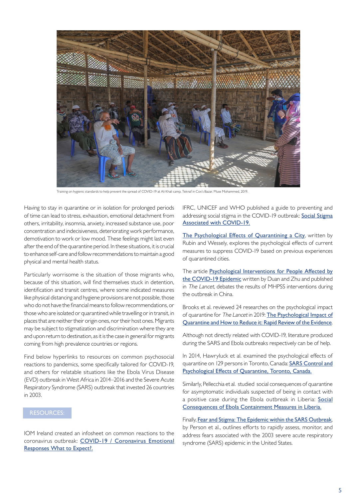

Training on hygienic standards to help prevent the spread of COVID-19 at Ali Khali camp, Teknaf in Cox's Bazar. Muse Mohammed, 2019.

Having to stay in quarantine or in isolation for prolonged periods of time can lead to stress, exhaustion, emotional detachment from others, irritability, insomnia, anxiety, increased substance use, poor concentration and indecisiveness, deteriorating work performance, demotivation to work or low mood. These feelings might last even after the end of the quarantine period. In these situations, it is crucial to enhance self-care and follow recommendations to maintain a good physical and mental health status.

Particularly worrisome is the situation of those migrants who, because of this situation, will find themselves stuck in detention, identification and transit centres, where some indicated measures like physical distancing and hygiene provisions are not possible, those who do not have the financial means to follow recommendations, or those who are isolated or quarantined while travelling or in transit, in places that are neither their origin ones, nor their host ones. Migrants may be subject to stigmatization and discrimination where they are and upon return to destination, as it is the case in general for migrants coming from high prevalence countries or regions.

Find below hyperlinks to resources on common psychosocial reactions to pandemics, some specifically tailored for COVID-19, and others for relatable situations like the Ebola Virus Disease (EVD) outbreak in West Africa in 2014–2016 and the Severe Acute Respiratory Syndrome (SARS) outbreak that invested 26 countries in 2003.

### RESOURCES:

IOM Ireland created an infosheet on common reactions to the coronavirus outbreak: [COVID-19 / Coronavirus Emotional](http://iomireland.ie/what-do-we-do/migrant-health/?fbclid=IwAR00AkS1vn10TJHyFo-RqOXi6ZyaXwQM8BSMpC6c4wLt3sakCx1OdlS49oo)  [Responses What to Expect?.](http://iomireland.ie/what-do-we-do/migrant-health/?fbclid=IwAR00AkS1vn10TJHyFo-RqOXi6ZyaXwQM8BSMpC6c4wLt3sakCx1OdlS49oo)

IFRC, UNICEF and WHO published a guide to preventing and addressing social stigma in the COVID-19 outbreak: [Social Stigma](https://www.unicef.org/documents/social-stigma-associated-coronavirus-disease-covid-19) [Associated with COVID-19.](https://www.unicef.org/documents/social-stigma-associated-coronavirus-disease-covid-19)

[The Psychological Effects of Quarantining a City](https://www.bmj.com/content/368/bmj.m313), written by Rubin and Wessely, explores the psychological effects of current measures to suppress COVID-19 based on previous experiences of quarantined cities.

The article [Psychological Interventions for People Affected by](https://www.thelancet.com/journals/lanpsy/article/PIIS2215-0366(20)30073-0/fulltext) [the COVID-19 Epidemic](https://www.thelancet.com/journals/lanpsy/article/PIIS2215-0366(20)30073-0/fulltext) written by Duan and Zhu and published in The Lancet, debates the results of MHPSS interventions during the outbreak in China.

Brooks et al. reviewed 24 researches on the psychological impact of quarantine for The Lancet in 2019: [The Psychological Impact of](https://www.thelancet.com/journals/lancet/article/PIIS0140-6736(20)30460-8/fulltext) [Quarantine and How to Reduce it: Rapid Review of the Evidence](https://www.thelancet.com/journals/lancet/article/PIIS0140-6736(20)30460-8/fulltext).

Although not directly related with COVID-19, literature produced during the SARS and Ebola outbreaks respectively can be of help.

In 2014, Hawryluck et al. examined the psychological effects of quarantine on 129 persons in Toronto, Canada: [SARS Control and](https://www.ncbi.nlm.nih.gov/pmc/articles/PMC3323345/) [Psychological Effects of Quarantine, Toronto, Canada.](https://www.ncbi.nlm.nih.gov/pmc/articles/PMC3323345/)

Similarly, Pellecchia et al. studied social consequences of quarantine for asymptomatic individuals suspected of being in contact with a positive case during the Ebola outbreak in Liberia: [Social](https://journals.plos.org/plosone/article?id=10.1371/journal.pone.0143036) [Consequences of Ebola Containment Measures in Liberia](https://journals.plos.org/plosone/article?id=10.1371/journal.pone.0143036).

Finally, [Fear and Stigma: The Epidemic within the SARS Outbreak](https://www.ncbi.nlm.nih.gov/pubmed/15030713), by Person et al., outlines efforts to rapidly assess, monitor, and address fears associated with the 2003 severe acute respiratory syndrome (SARS) epidemic in the United States.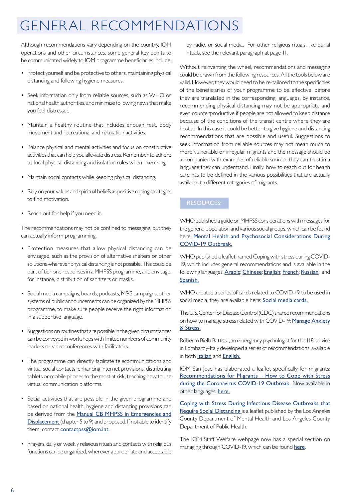## GENERAL RECOMMENDATIONS

Although recommendations vary depending on the country, IOM operations and other circumstances, some general key points to be communicated widely to IOM programme beneficiaries include:

- Protect yourself and be protective to others, maintaining physical distancing and following hygiene measures.
- Seek information only from reliable sources, such as WHO or national health authorities, and minimize following news that make you feel distressed.
- Maintain a healthy routine that includes enough rest, body movement and recreational and relaxation activities.
- Balance physical and mental activities and focus on constructive activities that can help you alleviate distress. Remember to adhere to local physical distancing and isolation rules when exercising.
- Maintain social contacts while keeping physical distancing.
- Rely on your values and spiritual beliefs as positive coping strategies to find motivation.
- Reach out for help if you need it.

The recommendations may not be confined to messaging, but they can actually inform programming.

- Protection measures that allow physical distancing can be envisaged, such as the provision of alternative shelters or other solutions wherever physical distancing is not possible. This could be part of tier one responses in a MHPSS programme, and envisage, for instance, distribution of sanitizers or masks.
- Social media campaigns, boards, podcasts, MSG campaigns, other systems of public announcements can be organized by the MHPSS programme, to make sure people receive the right information in a supportive language.
- Suggestions on routines that are possible in the given circumstances can be conveyed in workshops with limited numbers of community leaders or videoconferences with facilitators.
- The programme can directly facilitate telecommunications and virtual social contacts, enhancing internet provisions, distributing tablets or mobile phones to the most at risk, teaching how to use virtual communication platforms.
- Social activities that are possible in the given programme and based on national health, hygiene and distancing provisions can be derived from the [Manual CB MHPSS in Emergencies and](https://www.iom.int/mhpsed) [Displacement](https://www.iom.int/mhpsed) (chapter 5 to 9) and proposed. If not able to identify them, contact contactpss@iom.int.
- Prayers, daily or weekly religious rituals and contacts with religious functions can be organized, wherever appropriate and acceptable

by radio, or social media. For other religious rituals, like burial rituals, see the relevant paragraph at page 11.

Without reinventing the wheel, recommendations and messaging could be drawn from the following resources. All the tools below are valid. However, they would need to be re-tailored to the specificities of the beneficiaries of your programme to be effective, before they are translated in the corresponding languages. By instance, recommending physical distancing may not be appropriate and even counterproductive if people are not allowed to keep distance because of the conditions of the transit centre where they are hosted. In this case it could be better to give hygiene and distancing recommendations that are possible and useful. Suggestions to seek information from reliable sources may not mean much to more vulnerable or irregular migrants and the message should be accompanied with examples of reliable sources they can trust in a language they can understand. Finally, how to reach out for health care has to be defined in the various possibilities that are actually available to different categories of migrants.

### RESOURCES:

WHO published a guide on MHPSS considerations with messages for the general population and various social groups, which can be found here: [Mental Health and Psychosocial Considerations During](https://www.who.int/docs/default-source/coronaviruse/mental-health-considerations.pdf) [COVID-19 Outbreak.](https://www.who.int/docs/default-source/coronaviruse/mental-health-considerations.pdf)

WHO published a leaflet named Coping with stress during COVID-19, which includes general recommendations and is available in the following languages: **[Arabic](https://www.who.int/docs/default-source/coronaviruse/coping-with-stress-print-v0-ar.pdf?sfvrsn=df557c4e_2)**; [Chinese](https://www.who.int/images/default-source/health-topics/coronavirus/cope-with-stress-zh.jpg?sfvrsn=40131d95_4); [English](https://www.who.int/docs/default-source/coronaviruse/coping-with-stress.pdf); [French](https://www.who.int/docs/default-source/coronaviruse/coping-with-stress-fr.pdf?sfvrsn=df557c4e_8); [Russian](https://www.who.int/docs/default-source/coronaviruse/200762-coping-with-stress-ru.pdf?sfvrsn=df557c4e_8); and [Spanish](https://www.who.int/docs/default-source/coronaviruse/200762-coping-with-stress-during-the-2019-sp.pdf).

WHO created a series of cards related to COVID-19 to be used in social media, they are available here: [Social media cards](https://drive.google.com/drive/folders/1qlbtlwpbnNDSdLC6jnko0_-th0SKZhi0).

The U.S. Center for Disease Control (CDC) shared recommendations on how to manage stress related with COVID-19: [Manage Anxiety](https://www.cdc.gov/coronavirus/2019-ncov/daily-life-coping/managing-stress-anxiety.html?CDC_AA_refVal=https%3A%2F%2Fwww.cdc.gov%2Fcoronavirus%2F2019-ncov%2Fprepare%2Fmanaging-stress-anxiety.html) [& Stress.](https://www.cdc.gov/coronavirus/2019-ncov/daily-life-coping/managing-stress-anxiety.html?CDC_AA_refVal=https%3A%2F%2Fwww.cdc.gov%2Fcoronavirus%2F2019-ncov%2Fprepare%2Fmanaging-stress-anxiety.html)

Roberto Biella Battista, an emergency psychologist for the 118 service in Lombardy-Italy developed a series of recommendations, available in both *[Italian](https://iomint-my.sharepoint.com/:w:/g/personal/ngallo_iom_int/EaNBoIaht7ZNp0maZ9LjrVsB3GhtK38PorrVELaqpgMldw?e=DTKkiR)* and **[English](https://iomint-my.sharepoint.com/:w:/g/personal/ngallo_iom_int/EdPBqrwA40tEo0X81dfjTB8BvPt3CcL-KSsv_Pm9-a9VIg?e=aDjLXy).** 

IOM San Jose has elaborated a leaflet specifically for migrants: [Recommendations for Migrants – How to Cope with Stress](https://trello-attachments.s3.amazonaws.com/5e7386b13aaf542ba4992810/5e7e0cb73c2cda361818b858/1de26631aeaf5b53a90dbcaed92da469/Mental_health_Infographic_-_English_-_High_resolution-01.jpg) [during the Coronavirus COVID-19 Outbreak](https://trello-attachments.s3.amazonaws.com/5e7386b13aaf542ba4992810/5e7e0cb73c2cda361818b858/1de26631aeaf5b53a90dbcaed92da469/Mental_health_Infographic_-_English_-_High_resolution-01.jpg). Now available in other languages: [here.](https://iomint-my.sharepoint.com/:f:/g/personal/kcarpio_iom_int/ErZan_lxadBAlu-vPgKrMnUBrWfx_Q0HjQE27bE5v_CiWQ?e=MHk7Ae)

[Coping with Stress During Infectious Disease Outbreaks that](http://www.publichealth.lacounty.gov/media/Coronavirus/CommunicableDisease-StrategiesForCoping.pdf) [Require Social Distancing](http://www.publichealth.lacounty.gov/media/Coronavirus/CommunicableDisease-StrategiesForCoping.pdf) is a leaflet published by the Los Angeles County Department of Mental Health and Los Angeles County Department of Public Health.

The IOM Staff Welfare webpage now has a special section on managing through COVID-19, which can be found [here](https://www.iom.int/managing-through-covid-19).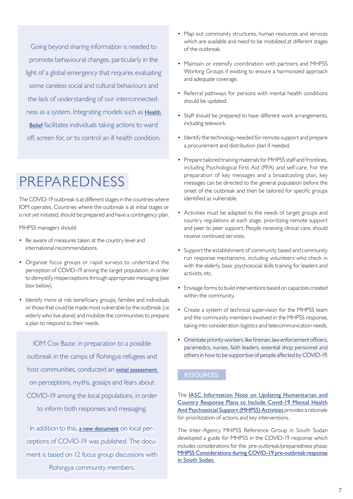Going beyond sharing information is needed to promote behavioural changes, particularly in the light of a global emergency that requires evaluating some careless social and cultural behaviours and the lack of understanding of our interconnectedness as a system. Integrating models such as **Health** [Belief](https://iomint-my.sharepoint.com/:f:/g/personal/ngallo_iom_int/EuB559-AFn5BlVkdfbqa6LAB6Vvnr4Pcvpuu-dIOglGatg?e=PBf3IG) facilitates individuals taking actions to ward off, screen for, or to control an ill health condition.

## PREPAREDNESS

The COVID-19 outbreak is at different stages in the countries where IOM operates. Countries where the outbreak is at initial stages or is not yet initiated, should be prepared and have a contingency plan.

MHPSS managers should:

- Be aware of measures taken at the country level and international recommendations.
- Organize focus groups or rapid surveys to understand the perception of COVID-19 among the target population, in order to demystify misperceptions through appropriate messaging (see box below).
- Identify more at risk beneficiary groups, families and individuals or those that could be made most vulnerable by the outbreak (i.e elderly who live alone) and mobilize the communities to prepare a plan to respond to their needs.

IOM Cox Bazar, in preparation to a possible outbreak in the camps of Rohingya refugees and host communities, conducted an [initial assessment](https://iomint-my.sharepoint.com/:w:/g/personal/ngallo_iom_int/Eft8Hby7LdtPrlLYLSS5VmcBT7fjjGi7qrjCxji3wkMt7Q?e=GGTzza) on perceptions, myths, gossips and fears about COVID-19 among the local populations, in order to inform both responses and messaging.

In addition to this, [a new document](https://iomint-my.sharepoint.com/personal/ngallo_iom_int/_layouts/15/onedrive.aspx?id=%2Fpersonal%2Fngallo%5Fiom%5Fint%2FDocuments%2FCOVID%20doc%20links%2FCOVID%2D19%5FExplained%20Edition%232%2Epdf&parent=%2Fpersonal%2Fngallo%5Fiom%5Fint%2FDocuments%2FCOVID%20doc%20links&originalPath=aHR0cHM6Ly9pb21pbnQtbXkuc2hhcmVwb2ludC5jb20vOmI6L2cvcGVyc29uYWwvbmdhbGxvX2lvbV9pbnQvRVJVdXRNT01PUlJCdTFxS09oZWxMY2tCUmpXSUFibWwwbWF4a0kwWG9laXpvZz9ydGltZT1UcVA5T1hQbjEwZw) on local perceptions of COVID-19 was published. The document is based on 12 focus group discussions with Rohingya community members.

- Map out community structures, human resources and services which are available and need to be mobilized at different stages of the outbreak.
- Maintain or intensify coordination with partners and MHPSS Working Groups if existing to ensure a harmonized approach and adequate coverage.
- Referral pathways for persons with mental health conditions should be updated.
- Staff should be prepared to have different work arrangements, including telework.
- Identify the technology needed for remote support and prepare a procurement and distribution plan if needed.
- Prepare tailored training materials for MHPSS staff and frontlines, including Psychological First Aid (PFA) and self-care. For the preparation of key messages and a broadcasting plan, key messages can be directed to the general population before the onset of the outbreak and then be tailored for specific groups identified as vulnerable.
- Activities must be adapted to the needs of target groups and country regulations at each stage, prioritizing remote support and peer to peer support. People receiving clinical care, should receive continued services.
- Support the establishment of community based and community run response mechanisms, including volunteers who check in with the elderly, basic psychosocial skills training for leaders and activists, etc.
- Envisage forms to build interventions based on capacities created within the community.
- Create a system of technical supervision for the MHPSS team and the community members involved in the MHPSS response, taking into consideration logistics and telecommunication needs.
- Orientate priority workers, like fireman, law enforcement officers, paramedics, nurses, faith leaders, essential shop personnel and others in how to be supportive of people affected by COVID-19.

### RESOURCES:

The [IASC Information Note on Updating Humanitarian and](https://www.who.int/publications-detail/strategic-preparedness-and-response-plan-for-the-new-coronavirus)  [Country Response Plans to Include Covid-19 Mental Health](https://www.who.int/publications-detail/strategic-preparedness-and-response-plan-for-the-new-coronavirus)  [And Psychosocial Support \(MHPSS\) Activities](https://www.who.int/publications-detail/strategic-preparedness-and-response-plan-for-the-new-coronavirus) provides a rationale for prioritization of actions and key interventions.

The Inter-Agency MHPSS Reference Group in South Sudan developed a guide for MHPSS in the COVID-19 response which includes considerations for the pre-outbreak/preparedness phase: [MHPSS Considerations during COVID-19 pre-outbreak response](https://iomint-my.sharepoint.com/:w:/g/personal/ngallo_iom_int/EWW5g-KSzLJOnMdJNopi_kUBEJTKIREfKkKslqbXj7-GpQ?e=SN07gn)  [in South Sudan.](https://iomint-my.sharepoint.com/:w:/g/personal/ngallo_iom_int/EWW5g-KSzLJOnMdJNopi_kUBEJTKIREfKkKslqbXj7-GpQ?e=SN07gn)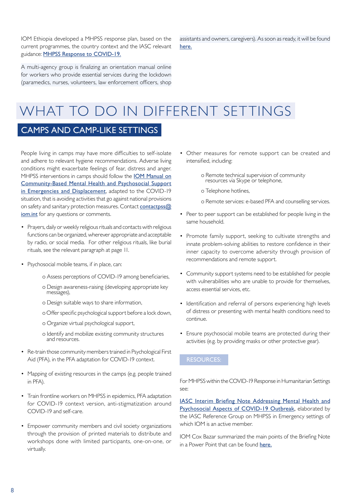IOM Ethiopia developed a MHPSS response plan, based on the current programmes, the country context and the IASC relevant guidance: [MHPSS Response to COVID-19](https://iomint-my.sharepoint.com/:w:/g/personal/ngallo_iom_int/EdJ07NxfNfhBkp2DzbGgO3ABadY89o69Rf5sRvJlc-yiiA?e=1a2FzD).

A multi-agency group is finalizing an orientation manual online for workers who provide essential services during the lockdown (paramedics, nurses, volunteers, law enforcement officers, shop assistants and owners, caregivers). As soon as ready, it will be found [here.](https://iomint-my.sharepoint.com/personal/ngallo_iom_int/_layouts/15/onedrive.aspx?originalPath=aHR0cHM6Ly9pb21pbnQtbXkuc2hhcmVwb2ludC5jb20vOmI6L2cvcGVyc29uYWwvbmdhbGxvX2lvbV9pbnQvRVJVdXRNT01PUlJCdTFxS09oZWxMY2tCUmpXSUFibWwwbWF4a0kwWG9laXpvZz9ydGltZT1UcVA5T1hQbjEwZw&id=%2Fpersonal%2Fngallo%5Fiom%5Fint%2FDocuments%2FCOVID%20doc%20links)

## WHAT TO DO IN DIFFERENT SETTINGS

## CAMPS AND CAMP-LIKE SETTINGS

People living in camps may have more difficulties to self-isolate and adhere to relevant hygiene recommendations. Adverse living conditions might exacerbate feelings of fear, distress and anger. MHPSS interventions in camps should follow the [IOM Manual on](https://www.iom.int/mhpsed) [Community-Based Mental Health and Psychosocial Support](https://www.iom.int/mhpsed) [in Emergencies and Displacement](https://www.iom.int/mhpsed), adapted to the COVID-19 situation, that is avoiding activities that go against national provisions on safety and sanitary protection measures. Contact contactpss $@$ iom.int for any questions or comments.

- Prayers, daily or weekly religious rituals and contacts with religious functions can be organized, wherever appropriate and acceptable by radio, or social media. For other religious rituals, like burial rituals, see the relevant paragraph at page 11.
- Psychosocial mobile teams, if in place, can:
	- o Assess perceptions of COVID-19 among beneficiaries,
	- o Design awareness-raising (developing appropriate key messages),
	- o Design suitable ways to share information,
	- o Offer specific psychological support before a lock down,
	- o Organize virtual psychological support,
	- o Identify and mobilize existing community structures and resources.
- Re-train those community members trained in Psychological First Aid (PFA), in the PFA adaptation for COVID-19 context.
- Mapping of existing resources in the camps (e.g. people trained in PFA).
- Train frontline workers on MHPSS in epidemics, PFA adaptation for COVID-19 context version, anti-stigmatization around COVID-19 and self-care.
- Empower community members and civil society organizations through the provision of printed materials to distribute and workshops done with limited participants, one-on-one, or virtually.
- Other measures for remote support can be created and intensified, including:
	- o Remote technical supervision of community resources via Skype or telephone,
	- o Telephone hotlines,
	- o Remote services: e-based PFA and counselling services.
- Peer to peer support can be established for people living in the same household.
- Promote family support, seeking to cultivate strengths and innate problem-solving abilities to restore confidence in their inner capacity to overcome adversity through provision of recommendations and remote support.
- Community support systems need to be established for people with vulnerabilities who are unable to provide for themselves, access essential services, etc.
- Identification and referral of persons experiencing high levels of distress or presenting with mental health conditions need to continue.
- Ensure psychosocial mobile teams are protected during their activities (e.g. by providing masks or other protective gear).

### RESOURCES:

For MHPSS within the COVID-19 Response in Humanitarian Settings see:

[IASC Interim Briefing Note Addressing Mental Health and](https://interagencystandingcommittee.org/iasc-reference-group-mental-health-and-psychosocial-support-emergency-settings/interim-briefing) [Psychosocial Aspects of COVID-19 Outbreak](https://interagencystandingcommittee.org/iasc-reference-group-mental-health-and-psychosocial-support-emergency-settings/interim-briefing), elaborated by the IASC Reference Group on MHPSS in Emergency settings of which IOM is an active member.

IOM Cox Bazar summarized the main points of the Briefing Note in a Power Point that can be found [here](https://iomint-my.sharepoint.com/:p:/g/personal/ngallo_iom_int/ETZ-n9MA9eFNleYR3L7i4QgBhWh_3yP5OXzvJwe9t_n0bQ?e=yTex9N).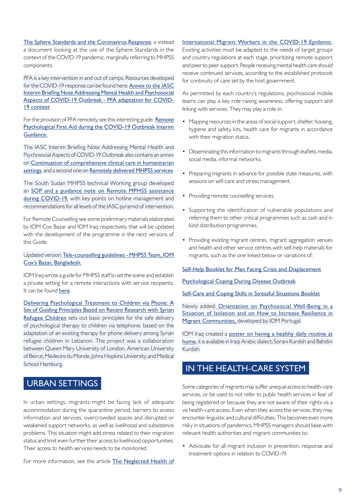[The Sphere Standards and the Coronavirus Response](https://spherestandards.org/resources/coronavirus/), is instead a document looking at the use of the Sphere Standards in the context of the COVID-19 pandemic, marginally referring to MHPSS components.

PFA is a key intervention in and out of camps. Resources developed for the COVID-19 response can be found here: [Annex to the IASC](https://interagencystandingcommittee.org/iasc-reference-group-mental-health-and-psychosocial-support-emergency-settings/interim-briefing) [Interim Briefing Note Addressing Mental Health and Psychosocial](https://interagencystandingcommittee.org/iasc-reference-group-mental-health-and-psychosocial-support-emergency-settings/interim-briefing) [Aspects of COVID-19 Outbreak - PFA adaptation for COVID-](https://interagencystandingcommittee.org/iasc-reference-group-mental-health-and-psychosocial-support-emergency-settings/interim-briefing)[19 context](https://interagencystandingcommittee.org/iasc-reference-group-mental-health-and-psychosocial-support-emergency-settings/interim-briefing)

For the provision of PFA remotely, see this interesting guide: [Remote](https://pscentre.org/archives/9119) [Psychological First Aid during the COVID-19 Outbreak Interim](https://pscentre.org/archives/9119) [Guidance](https://pscentre.org/archives/9119).

The IASC Interim Briefing Note Addressing Mental Health and Psychosocial Aspects of COVID-19 Outbreak also contains an annex on [Continuation of comprehensive clinical care in humanitarian](https://interagencystandingcommittee.us12.list-manage.com/track/click?u=c2523f4cbed5f394e2158b43f&id=af2f02b64f&e=41b7884f7d) [settings](https://interagencystandingcommittee.us12.list-manage.com/track/click?u=c2523f4cbed5f394e2158b43f&id=af2f02b64f&e=41b7884f7d), and a second one on [Remotely delivered MHPSS services](https://interagencystandingcommittee.us12.list-manage.com/track/click?u=c2523f4cbed5f394e2158b43f&id=f7407bfe6e&e=41b7884f7d).

The South Sudan MHPSS technical Working group developed an [SOP and a guidance note on Remote MPHSS assistance](https://iomint-my.sharepoint.com/personal/ngallo_iom_int/_layouts/15/onedrive.aspx?originalPath=aHR0cHM6Ly9pb21pbnQtbXkuc2hhcmVwb2ludC5jb20vOmY6L2cvcGVyc29uYWwvbmdhbGxvX2lvbV9pbnQvRW9GM0hRMlZUVXRQdGVFcEV4eVBnamNCZ1VhaEpFNlpXT0ZjWVF6XzVqMWsxUT9ydGltZT1VWlNHVW9fbjEwZw&id=%2Fpersonal%2Fngallo%5Fiom%5Fint%2FDocuments%2FCOVID%20doc%20links%2FSouth%20Sudan) [during COVID-19,](https://iomint-my.sharepoint.com/personal/ngallo_iom_int/_layouts/15/onedrive.aspx?originalPath=aHR0cHM6Ly9pb21pbnQtbXkuc2hhcmVwb2ludC5jb20vOmY6L2cvcGVyc29uYWwvbmdhbGxvX2lvbV9pbnQvRW9GM0hRMlZUVXRQdGVFcEV4eVBnamNCZ1VhaEpFNlpXT0ZjWVF6XzVqMWsxUT9ydGltZT1VWlNHVW9fbjEwZw&id=%2Fpersonal%2Fngallo%5Fiom%5Fint%2FDocuments%2FCOVID%20doc%20links%2FSouth%20Sudan) with key points on hotline management and recommendations for all levels of the IASC pyramid of intervention.

For Remote Counselling see some preliminary materials elaborated by IOM Cox Bazar and IOM Iraq respectively, that will be updated with the development of the programme in the next versions of this Guide:

#### Updated version: [Tele-counselling guidelines - MHPSS Team, IOM](https://iomint-my.sharepoint.com/:w:/g/personal/ngallo_iom_int/EXWqiG8InIFIgk1YE9FOIJsBV2MCAaKl03oDEEMsTmcFIQ?e=2BkUlw) [Cox's Bazar, Bangladesh](https://iomint-my.sharepoint.com/:w:/g/personal/ngallo_iom_int/EXWqiG8InIFIgk1YE9FOIJsBV2MCAaKl03oDEEMsTmcFIQ?e=2BkUlw).

IOM Iraq wrote a guide for MHPSS staff to set the scene and establish a private setting for a remote interactions with service recipients. It can be found [here](https://iomint-my.sharepoint.com/:b:/g/personal/ngallo_iom_int/EUcSFCgWtmVAuRSArOz38ZIBMeurBXK-9ThT5g9i0fyGtg?e=pSEbpx).

[Delivering Psychological Treatment to Children via Phone: A](https://osf.io/jtf2v/) [Set of Guiding Principles Based on Recent Research with Syrian](https://osf.io/jtf2v/) [Refugee Children](https://osf.io/jtf2v/) sets out basic principles for the safe delivery of psychological therapy to children via telephone, based on the adaptation of an existing therapy for phone delivery among Syrian refugee children in Lebanon. The project was a collaboration between Queen Mary University of London, American University of Beirut, Médecins du Monde, Johns Hopkins University, and Medical School Hamburg.

## URBAN SETTINGS

In urban settings, migrants might be facing lack of adequate accommodation during the quarantine period, barriers to access information and services, overcrowded spaces and disrupted or weakened support networks, as well as livelihood and subsistence problems. This situation might add stress related to their migration status and limit even further their access to livelihood opportunities. Their access to health services needs to be monitored.

For more information, see this article [The Neglected Health of](https://www.thelancet.com/journals/lanpsy/article/PIIS2215-0366(20)30076-6/fulltext)

#### [International Migrant Workers in the COVID-19 Epidemic](https://www.thelancet.com/journals/lanpsy/article/PIIS2215-0366(20)30076-6/fulltext).

Existing activities must be adapted to the needs of target groups and country regulations at each stage, prioritizing remote support and peer to peer support. People receiving mental health care should receive continued services, according to the established protocols for continuity of care set by the host government.

As permitted by each country's regulations, psychosocial mobile teams can play a key role raising awareness, offering support and linking with services. They may play a role in:

- Mapping resources in the areas of social support, shelter, housing, hygiene and safety kits, health care for migrants in accordance with their migration status.
- Disseminating this information to migrants through leaflets, media, social media, informal networks.
- Preparing migrants in advance for possible state measures, with sessions on self-care and stress management.
- Providing remote counselling services.
- Supporting the identification of vulnerable populations and referring them to other critical programmes such as cash and in kind distribution programmes.
- Providing existing migrant centres, migrant aggregation venues and health and other service centres with self-help materials for migrants, such as the one linked below or variations of:

#### Self-Help Booklet for Men Facing Crisis and Displacement

#### Psychological Coping During Disease Outbreak

[Self-Care and Coping Skills in Stressful Situations Booklet](https://iomint-my.sharepoint.com/:p:/g/personal/ngallo_iom_int/EeXgcUJSmm1Oo-Bi57xO5rgBZ1OqAkAMjGXxHGA-oEX8Ow?e=6vveKn)

Newly added: [Orientation on Psychosocial Well-Being in a](https://www.dropbox.com/sh/aw9ml5qgi2cvt0k/AABODltcbXgDImd2v-z14difa?dl=0) [Situation of Isolation and on How to Increase Resilience in](https://www.dropbox.com/sh/aw9ml5qgi2cvt0k/AABODltcbXgDImd2v-z14difa?dl=0) [Migrant Communities,](https://www.dropbox.com/sh/aw9ml5qgi2cvt0k/AABODltcbXgDImd2v-z14difa?dl=0) developed by IOM Portugal.

IOM Iraq created a [poster on having a healthy daily routine at](https://iomint-my.sharepoint.com/:f:/g/personal/ngallo_iom_int/EjwVeZi-A-VAqtaXxMpJk4IBPm-dujRaOZfI-Y8VcawkaA?e=OjvHrg) [home](https://iomint-my.sharepoint.com/:f:/g/personal/ngallo_iom_int/EjwVeZi-A-VAqtaXxMpJk4IBPm-dujRaOZfI-Y8VcawkaA?e=OjvHrg), it is available in Iraqi Arabic dialect, Sorani Kurdish and Bahdini Kurdish.

## IN THE HEALTH-CARE SYSTEM

Some categories of migrants may suffer unequal access to health-care services, or be used to not refer to public health services in fear of being registered or because they are not aware of their rights vis a vis health-care access. Even when they access the services, they may encounter linguistic and cultural difficulties. This becomes even more risky in situations of pandemics. MHPSS managers should liaise with relevant health authorities and migrant communities to:

• Advocate for all migrant inclusion in prevention, response and treatment options in relation to COVID-19.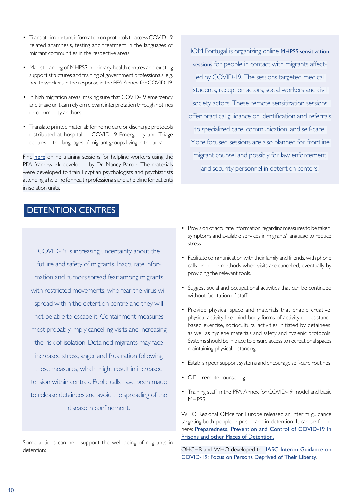- Translate important information on protocols to access COVID-19 related anamnesis, testing and treatment in the languages of migrant communities in the respective areas.
- Mainstreaming of MHPSS in primary health centres and existing support structures and training of government professionals, e.g. health workers in the response in the PFA Annex for COVID-19.
- In high migration areas, making sure that COVID-19 emergency and triage unit can rely on relevant interpretation through hotlines or community anchors.
- Translate printed materials for home care or discharge protocols distributed at hospital or COVID-19 Emergency and Triage centres in the languages of migrant groups living in the area.

Find [here](https://iomint-my.sharepoint.com/personal/ngallo_iom_int/_layouts/15/onedrive.aspx?id=%2Fpersonal%2Fngallo%5Fiom%5Fint%2FDocuments%2FCOVID%20doc%20links%2FNancy%20Baron&originalPath=aHR0cHM6Ly9pb21pbnQtbXkuc2hhcmVwb2ludC5jb20vOmY6L2cvcGVyc29uYWwvbmdhbGxvX2lvbV9pbnQvRWlvdm5GMG5xaFJIdmVQMEY1R29qR1VCQ3lyUVBQWm14MEhTQ1VLQmp1eGlfUT9ydGltZT02UWlYUTFqbjEwZw) online training sessions for helpline workers using the PFA framework developed by Dr. Nancy Baron. The materials were developed to train Egyptian psychologists and psychiatrists attending a helpline for health professionals and a helpline for patients in isolation units.

## DETENTION CENTRES

COVID-19 is increasing uncertainty about the future and safety of migrants. Inaccurate information and rumors spread fear among migrants with restricted movements, who fear the virus will spread within the detention centre and they will not be able to escape it. Containment measures most probably imply cancelling visits and increasing the risk of isolation. Detained migrants may face increased stress, anger and frustration following these measures, which might result in increased tension within centres. Public calls have been made to release detainees and avoid the spreading of the disease in confinement.

Some actions can help support the well-being of migrants in detention:

IOM Portugal is organizing online **MHPSS sensitization** [sessions](https://iomint-my.sharepoint.com/:p:/g/personal/ngallo_iom_int/Ec1eg_wX0AVJh9VO1QG_tBgBoQKipmM2AWlF1-bC9aM2ag?e=lq2U4s) for people in contact with migrants affected by COVID-19. The sessions targeted medical students, reception actors, social workers and civil society actors. These remote sensitization sessions offer practical guidance on identification and referrals to specialized care, communication, and self-care. More focused sessions are also planned for frontline migrant counsel and possibly for law enforcement and security personnel in detention centers.

- Provision of accurate information regarding measures to be taken, symptoms and available services in migrants' language to reduce stress.
- Facilitate communication with their family and friends, with phone calls or online methods when visits are cancelled, eventually by providing the relevant tools.
- Suggest social and occupational activities that can be continued without facilitation of staff.
- Provide physical space and materials that enable creative, physical activity like mind-body forms of activity or resistance based exercise, sociocultural activities initiated by detainees, as well as hygiene materials and safety and hygienic protocols. Systems should be in place to ensure access to recreational spaces maintaining physical distancing.
- Establish peer support systems and encourage self-care routines.
- Offer remote counselling.
- Training staff in the PFA Annex for COVID-19 model and basic MHPSS.

WHO Regional Office for Europe released an interim guidance targeting both people in prison and in detention. It can be found here: Preparedness, Prevention and Control of COVID-19 in Prisons and other Places of Detention.

OHCHR and WHO developed the IASC Interim Guidance on COVID-19: Focus on Persons Deprived of Their Liberty.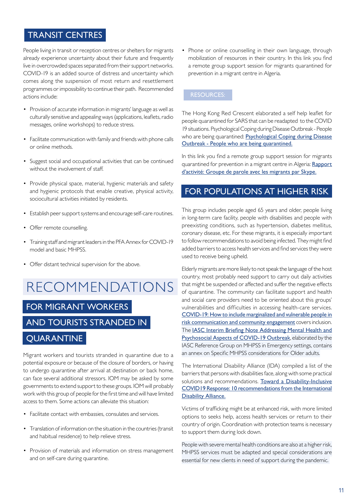## TRANSIT CENTRES

People living in transit or reception centres or shelters for migrants already experience uncertainty about their future and frequently live in overcrowded spaces separated from their support networks. COVID-19 is an added source of distress and uncertainty which comes along the suspension of most return and resettlement programmes or impossibility to continue their path. Recommended actions include:

- Provision of accurate information in migrants' language as well as culturally sensitive and appealing ways (applications, leaflets, radio messages, online workshops) to reduce stress.
- Facilitate communication with family and friends with phone calls or online methods.
- Suggest social and occupational activities that can be continued without the involvement of staff.
- Provide physical space, material, hygienic materials and safety and hygienic protocols that enable creative, physical activity, sociocultural activities initiated by residents.
- Establish peer support systems and encourage self-care routines.
- Offer remote counselling.
- Training staff and migrant leaders in the PFA Annex for COVID-19 model and basic MHPSS.
- Offer distant technical supervision for the above.

# RECOMMENDATIONS

## FOR MIGRANT WORKERS

## AND TOURISTS STRANDED IN

## **QUARANTINE**

Migrant workers and tourists stranded in quarantine due to a potential exposure or because of the closure of borders, or having to undergo quarantine after arrival at destination or back home, can face several additional stressors. IOM may be asked by some governments to extend support to these groups. IOM will probably work with this group of people for the first time and will have limited access to them. Some actions can alleviate this situation:

- Facilitate contact with embassies, consulates and services.
- Translation of information on the situation in the countries (transit and habitual residence) to help relieve stress.
- Provision of materials and information on stress management and on self-care during quarantine.

• Phone or online counselling in their own language, through mobilization of resources in their country. In this link you find a remote group support session for migrants quarantined for prevention in a migrant centre in Algeria.

### RESOURCES:

The Hong Kong Red Crescent elaborated a self help leaflet for people quarantined for SARS that can be readapted to the COVID 19 situations. Psychological Coping during Disease Outbreak - People who are being quarantined: Psychological Coping during Disease [Outbreak - People who are being quarantined](https://www.redcross.org.hk/sites/redcross/files/media/ccsd_files/MHPSS%20during%20disease%20outbreak_isolationhk_ENG_final.pdf).

In this link you find a remote group support session for migrants quarantined for prevention in a migrant centre in Algeria: Rapport [d'activité: Groupe de parole avec les migrants par Skype.](https://iomint-my.sharepoint.com/:b:/g/personal/ngallo_iom_int/EVN7XHaIskZFp9VAj3MmJ7oBZBbTkxi0MUhP6j9LanSs0g?e=deZdG3)

## FOR POPULATIONS AT HIGHER RISK

This group includes people aged 65 years and older, people living in long-term care facility, people with disabilities and people with preexisting conditions, such as hypertension, diabetes mellitus, coronary disease, etc. For these migrants, it is especially important to follow recommendations to avoid being infected. They might find added barriers to access health services and find services they were used to receive being upheld.

Elderly migrants are more likely to not speak the language of the host country, most probably need support to carry out daily activities that might be suspended or affected and suffer the negative effects of quarantine. The community can facilitate support and health and social care providers need to be oriented about this groups' vulnerabilities and difficulties in accessing health-care services. [COVID-19: How to include marginalized and vulnerable people in](https://interagencystandingcommittee.org/covid-19-how-include-marginalized-and-vulnerable-people-risk-communication-and-community-engagement) [risk communication and community engagement](https://interagencystandingcommittee.org/covid-19-how-include-marginalized-and-vulnerable-people-risk-communication-and-community-engagement) covers inclusion. The [IASC Interim Briefing Note Addressing Mental Health and](https://interagencystandingcommittee.org/iasc-reference-group-mental-health-and-psychosocial-support-emergency-settings/interim-briefing)  [Psychosocial Aspects of COVID-19 Outbreak](https://interagencystandingcommittee.org/iasc-reference-group-mental-health-and-psychosocial-support-emergency-settings/interim-briefing), elaborated by the IASC Reference Group on MHPSS in Emergency settings, contains an annex on Specific MHPSS considerations for Older adults.

The International Disability Alliance (IDA) compiled a list of the barriers that persons with disabilities face, along with some practical solutions and recommendations. [Toward a Disability-Inclusive](http://www.internationaldisabilityalliance.org/sites/default/files/ida_recommendations_for_disability-inclusive_covid19_response_final.pdf)  [COVID19 Response: 10 recommendations from the International](http://www.internationaldisabilityalliance.org/sites/default/files/ida_recommendations_for_disability-inclusive_covid19_response_final.pdf)  [Disability Alliance.](http://www.internationaldisabilityalliance.org/sites/default/files/ida_recommendations_for_disability-inclusive_covid19_response_final.pdf)

Victims of trafficking might be at enhanced risk, with more limited options to seeks help, access health services or return to their country of origin. Coordination with protection teams is necessary to support them during lock down.

People with severe mental health conditions are also at a higher risk, MHPSS services must be adapted and special considerations are essential for new clients in need of support during the pandemic.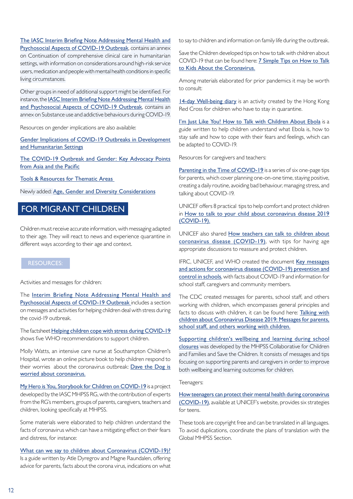[The IASC Interim Briefing Note Addressing Mental Health and](https://interagencystandingcommittee.org/iasc-reference-group-mental-health-and-psychosocial-support-emergency-settings/interim-briefing)  [Psychosocial Aspects of COVID-19 Outbreak](https://interagencystandingcommittee.org/iasc-reference-group-mental-health-and-psychosocial-support-emergency-settings/interim-briefing), contains an annex on Continuation of comprehensive clinical care in humanitarian settings, with information on considerations around high-risk service users, medication and people with mental health conditions in specific living circumstances.

Other groups in need of additional support might be identified. For instance, the [IASC Interim Briefing Note Addressing Mental Health](https://interagencystandingcommittee.org/iasc-reference-group-mental-health-and-psychosocial-support-emergency-settings/interim-briefing)  [and Psychosocial Aspects of COVID-19 Outbreak](https://interagencystandingcommittee.org/iasc-reference-group-mental-health-and-psychosocial-support-emergency-settings/interim-briefing), contains an annex on Substance use and addictive behaviours during COVID-19.

Resources on gender implications are also available:

[Gender Implications of COVID-19 Outbreaks in Development](https://www.care-international.org/files/files/Gendered_Implications_of_COVID-19_Full_Paper.pdf)  [and Humanitarian Settings](https://www.care-international.org/files/files/Gendered_Implications_of_COVID-19_Full_Paper.pdf)

[The COVID-19 Outbreak and Gender: Key Advocacy Points](https://asiapacific.unwomen.org/en/digital-library/publications/2020/03/the-covid-19-outbreak-and-gender#view)  [from Asia and the Pacific](https://asiapacific.unwomen.org/en/digital-library/publications/2020/03/the-covid-19-outbreak-and-gender#view)

[Tools & Resources for Thematic Areas](https://gbvaor.net/thematic-areas?term_node_tid_depth_1%5B121%5D=121)

Newly added: [Age, Gender and Diversity Considerations](https://data2.unhcr.org/en/documents/details/75295)

## FOR MIGRANT CHILDREN

Children must receive accurate information, with messaging adapted to their age. They will react to news and experience quarantine in different ways according to their age and context.

### RESOURCES:

Activities and messages for children:

The Interim Briefing Note Addressing Mental Health and [Psychosocial Aspects of COVID-19 Outbreak](https://interagencystandingcommittee.org/iasc-reference-group-mental-health-and-psychosocial-support-emergency-settings/interim-briefing) includes a section on messages and activities for helping children deal with stress during the covid-19 outbreak.

The factsheet [Helping children cope with stress during COVID-19](https://www.who.int/docs/default-source/coronaviruse/helping-children-cope-with-stress-print.pdf)  shows five WHO recommendations to support children.

Molly Watts, an intensive care nurse at Southampton Children's Hospital, wrote an online picture book to help children respond to their worries about the coronavirus outbreak: [Dave the Dog is](https://nursedottybooks.files.wordpress.com/2020/03/dave-the-dog-coronavirus-1-1.pdf)  [worried about coronavirus.](https://nursedottybooks.files.wordpress.com/2020/03/dave-the-dog-coronavirus-1-1.pdf)

[My Hero is You, Storybook for Children on COVID-19](https://interagencystandingcommittee.org/iasc-reference-group-mental-health-and-psychosocial-support-emergency-settings/my-hero-you) is a project developed by the IASC MHPSS RG, with the contribution of experts from the RG's members, groups of parents, caregivers, teachers and children, looking specifically at MHPSS.

Some materials were elaborated to help children understand the facts of coronavirus which can have a mitigating effect on their fears and distress, for instance:

[What can we say to children about Coronavirus \(COVID-19\)?](https://krisepsykologi.no/what-can-we-say-to-children-about-coronavirus/) Is a guide written by Atle Dyregrov and Magne Raundalen, offering advice for parents, facts about the corona virus, indications on what to say to children and information on family life during the outbreak.

Save the Children developed tips on how to talk with children about COVID-19 that can be found here: [7 Simple Tips on How to Talk](https://www.savethechildren.org/us/what-we-do/emergency-response/coronavirus-outbreak/coronavirus-outbreak-how-to-explain-children)  [to Kids About the Coronavirus.](https://www.savethechildren.org/us/what-we-do/emergency-response/coronavirus-outbreak/coronavirus-outbreak-how-to-explain-children)

Among materials elaborated for prior pandemics it may be worth to consult:

[14-day Well-being diary](https://www.redcross.org.hk/sites/redcross/files/media/ccsd_files/HKRC_14-day%20well-being%20kit_fillable%20pdf%20version_ENG_Mar2020.pdf) is an activity created by the Hong Kong Red Cross for children who have to stay in quarantine.

[I'm Just Like You! How to Talk with Children About Ebola](https://bettercarenetwork.org/sites/default/files/I%27m%20Just%20Like%20you%20-%20How%20to%20Talk%20with%20Children%20About%20Ebola.pdf) is a guide written to help children understand what Ebola is, how to stay safe and how to cope with their fears and feelings, which can be adapted to COVID-19.

Resources for caregivers and teachers:

[Parenting in the Time of COVID-19](https://www.who.int/emergencies/diseases/novel-coronavirus-2019/advice-for-public/healthy-parenting) is a series of six one-page tips for parents, which cover planning one-on-one time, staying positive, creating a daily routine, avoiding bad behaviour, managing stress, and talking about COVID-19.

UNICEF offers 8 practical tips to help comfort and protect children in [How to talk to your child about coronavirus disease 2019](https://www.unicef.org/coronavirus/how-talk-your-child-about-coronavirus-covid-19)  [\(COVID-19\).](https://www.unicef.org/coronavirus/how-talk-your-child-about-coronavirus-covid-19)

UNICEF also shared **How teachers can talk to children about** [coronavirus disease \(COVID-19\)](https://www.unicef.org/coronavirus/how-teachers-can-talk-children-about-coronavirus-disease-covid-19), with tips for having age appropriate discussions to reassure and protect children.

IFRC, UNICEF, and WHO created the document Key messages [and actions for coronavirus disease \(COVID-19\) prevention and](https://www.unicef.org/reports/key-messages-and-actions-coronavirus-disease-covid-19-prevention-and-control-schools)  [control in schools](https://www.unicef.org/reports/key-messages-and-actions-coronavirus-disease-covid-19-prevention-and-control-schools), with facts about COVID-19 and information for school staff, caregivers and community members.

The CDC created messages for parents, school staff, and others working with children, which encompasses general principles and facts to discuss with children, it can be found here: Talking with [children about Coronavirus Disease 2019: Messages for parents,](https://www.cdc.gov/coronavirus/2019-ncov/daily-life-coping/talking-with-children.html?CDC_AA_refVal=https%3A%2F%2Fwww.cdc.gov%2Fcoronavirus%2F2019-ncov%2Fcommunity%2Fschools-childcare%2Ftalking-with-children.html)  [school staff, and others working with children.](https://www.cdc.gov/coronavirus/2019-ncov/daily-life-coping/talking-with-children.html?CDC_AA_refVal=https%3A%2F%2Fwww.cdc.gov%2Fcoronavirus%2F2019-ncov%2Fcommunity%2Fschools-childcare%2Ftalking-with-children.html)

Supporting children's wellbeing and learning during school [closures](https://www.mhinnovation.net/resources/supporting-childrens-wellbeing-and-learning-during-school-closures) was developed by the MHPSS Collaborative for Children and Families and Save the Children. It consists of messages and tips focusing on supporting parents and caregivers in order to improve both wellbeing and learning outcomes for children.

Teenagers:

[How teenagers can protect their mental health during coronavirus](https://www.unicef.org/coronavirus/how-teenagers-can-protect-their-mental-health-during-coronavirus-covid-19)  [\(COVID-19\)](https://www.unicef.org/coronavirus/how-teenagers-can-protect-their-mental-health-during-coronavirus-covid-19), available at UNICEF's website, provides six strategies for teens.

These tools are copyright free and can be translated in all languages. To avoid duplications, coordinate the plans of translation with the Global MHPSS Section.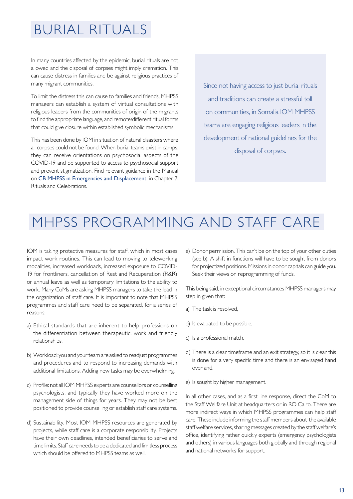## BURIAL RITUALS

In many countries affected by the epidemic, burial rituals are not allowed and the disposal of corpses might imply cremation. This can cause distress in families and be against religious practices of many migrant communities.

To limit the distress this can cause to families and friends, MHPSS managers can establish a system of virtual consultations with religious leaders from the communities of origin of the migrants to find the appropriate language, and remote/different ritual forms that could give closure within established symbolic mechanisms.

This has been done by IOM in situation of natural disasters where all corpses could not be found. When burial teams exist in camps, they can receive orientations on psychosocial aspects of the COVID-19 and be supported to access to psychosocial support and prevent stigmatization. Find relevant guidance in the Manual on [CB MHPSS in Emergencies and Displacement](https://www.iom.int/mhpsed/) in Chapter 7: Rituals and Celebrations.

Since not having access to just burial rituals and traditions can create a stressful toll on communities, in Somalia IOM MHPSS teams are engaging religious leaders in the development of national guidelines for the disposal of corpses.

## MHPSS PROGRAMMING AND STAFF CARE

IOM is taking protective measures for staff, which in most cases impact work routines. This can lead to moving to teleworking modalities, increased workloads, increased exposure to COVID-19 for frontliners, cancellation of Rest and Recuperation (R&R) or annual leave as well as temporary limitations to the ability to work. Many CoMs are asking MHPSS managers to take the lead in the organization of staff care. It is important to note that MHPSS programmes and staff care need to be separated, for a series of reasons:

- a) Ethical standards that are inherent to help professions on the differentiation between therapeutic, work and friendly relationships.
- b) Workload: you and your team are asked to readjust programmes and procedures and to respond to increasing demands with additional limitations. Adding new tasks may be overwhelming.
- c) Profile: not all IOM MHPSS experts are counsellors or counselling psychologists, and typically they have worked more on the management side of things for years. They may not be best positioned to provide counselling or establish staff care systems.
- d) Sustainability. Most IOM MHPSS resources are generated by projects, while staff care is a corporate responsibility. Projects have their own deadlines, intended beneficiaries to serve and time limits. Staff care needs to be a dedicated and limitless process which should be offered to MHPSS teams as well.

e) Donor permission. This can't be on the top of your other duties (see b). A shift in functions will have to be sought from donors for projectized positions. Missions in donor capitals can guide you. Seek their views on reprogramming of funds.

This being said, in exceptional circumstances MHPSS managers may step in given that:

- a) The task is resolved,
- b) Is evaluated to be possible,
- c) Is a professional match,
- d) There is a clear timeframe and an exit strategy, so it is clear this is done for a very specific time and there is an envisaged hand over and,
- e) Is sought by higher management.

In all other cases, and as a first line response, direct the CoM to the Staff Wellfare Unit at headquarters or in RO Cairo. There are more indirect ways in which MHPSS programmes can help staff care. These include informing the staff members about the available staff welfare services, sharing messages created by the staff welfare's office, identifying rather quickly experts (emergency psychologists and others) in various languages both globally and through regional and national networks for support.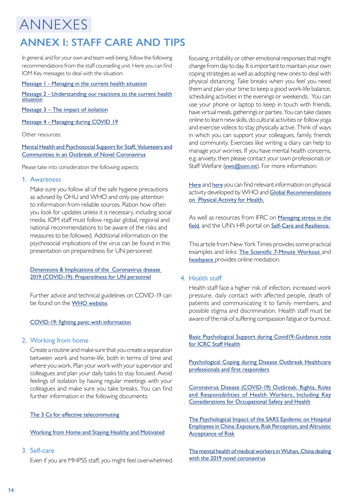## ANNEXES **ANNEX I: STAFF CARE AND TIPS**

In general, and for your own and team well-being, follow the following recommendations from the staff counselling unit. Here you can find IOM Key messages to deal with the situation:

#### [Message 1 - Managing in the current health situation](https://iomint-my.sharepoint.com/:b:/g/personal/ngallo_iom_int/EQTDrDVbcDFChPYOGUgA5WcBA6L3Ev2utfAoIv8NW_bz1A?e=112PxS)

[Message 2 - Understanding our reactions to the current health](https://iomint-my.sharepoint.com/:b:/g/personal/ngallo_iom_int/EQ98qp6gMrdFjDj_gtehHMUBPKeLKMgO-yr22Fh8yk5gBQ?e=GBfszx)  [situation](https://iomint-my.sharepoint.com/:b:/g/personal/ngallo_iom_int/EQ98qp6gMrdFjDj_gtehHMUBPKeLKMgO-yr22Fh8yk5gBQ?e=GBfszx)

[Message 3 – The impact of isolation](https://iomint-my.sharepoint.com/:b:/g/personal/ngallo_iom_int/Ea0kgvTvVQdKjiUVivQwi4QB2-5SbvUjf22lYXWiGG8gWg?e=aOHgvD)

[Message 4 - Managing during COVID 19](https://www.iom.int/managing-through-covid-19)

Other resources:

### [Mental Health and Psychosocial Support for Staff, Volunteers and](https://pscentre.org/wp-content/uploads/2020/02/MHPSS-in-nCoV-2020_ENG-1.pdf)  [Communities in an Outbreak of Novel Coronavirus](https://pscentre.org/wp-content/uploads/2020/02/MHPSS-in-nCoV-2020_ENG-1.pdf)

Please take into consideration the following aspects:

### 1. Awareness

Make sure you follow all of the safe hygiene precautions as advised by OHU and WHO and only pay attention to information from reliable sources. Ration how often you look for updates unless it is necessary, including social media. IOM staff must follow regular global, regional and national recommendations to be aware of the risks and measures to be followed. Additional information on the psychosocial implications of the virus can be found in this presentation on preparedness for UN personnel:

### [Dimensions & Implications of the Coronavirus disease](https://iomint-my.sharepoint.com/:p:/g/personal/ngallo_iom_int/EYImBQnPpdZErHr16YqFk-sBT2cZW-zPue8lDyD66v4fXg?e=PPN70j)  [2019 \(COVID-19\): Preparedness for UN personnel](https://iomint-my.sharepoint.com/:p:/g/personal/ngallo_iom_int/EYImBQnPpdZErHr16YqFk-sBT2cZW-zPue8lDyD66v4fXg?e=PPN70j)

Further advice and technical guidelines on COVID-19 can be found on the [WHO website](https://www.who.int/emergencies/diseases/novel-coronavirus-2019).

### [COVID-19: fighting panic with information](https://www.thelancet.com/journals/lancet/article/PIIS0140-6736(20)30379-2/fulltext)

### 2. Working from home

Create a routine and make sure that you create a separation between work and home-life, both in terms of time and where you work. Plan your work with your supervisor and colleagues and plan your daily tasks to stay focused. Avoid feelings of isolation by having regular meetings with your colleagues and make sure you take breaks. You can find further information in the following documents:

### [The 3 Cs for effective telecommuting](https://iomint-my.sharepoint.com/:b:/g/personal/ngallo_iom_int/EWIB3wqCvJZNnsc5BSCBfrIB6YG_y4saKEaT2uEDlwnung?e=dKgvcH)

### [Working from Home and Staying Healthy and Motivated](https://ficsa.org/)

### 3. Self-care

Even if you are MHPSS staff, you might feel overwhelmed

focusing, irritability or other emotional responses that might change from day to day. It is important to maintain your own coping strategies as well as adopting new ones to deal with physical distancing. Take breaks when you feel you need them and plan your time to keep a good work-life balance, scheduling activities in the evenings or weekends. You can use your phone or laptop to keep in touch with friends, have virtual meals, gatherings or parties. You can take classes online to learn new skills, do cultural activities or follow yoga and exercise videos to stay physically active. Think of ways in which you can support your colleagues, family, friends and community. Exercises like writing a diary can help to manage your worries. If you have mental health concerns, e.g. anxiety, then please contact your own professionals or Staff Welfare (swo@iom.int). For more information:

[Here](https://www.who.int/news-room/q-a-detail/be-active-during-covid-19) and [here](https://www.who.int/news-room/fact-sheets/detail/physical-activity) you can find relevant information on physical activity developed by WHO and [Global Recommendations](https://www.who.int/publications-detail/global-recommendations-on-physical-activity-for-health) [on](https://www.who.int/publications-detail/global-recommendations-on-physical-activity-for-health) Physical Activity for Health.

As well as resources from IFRC on [Managing stress in the](https://www.ifrc.org/Global/Publications/Health/managing-stress-en.pdf) [field](https://www.ifrc.org/Global/Publications/Health/managing-stress-en.pdf), and the UN's HR portal on [Self-Care and Resilience](https://hr.un.org/page/self-care-and-resilience).

This article from New York Times provides some practical examples and links: [The Scientific 7-Minute Workout](https://well.blogs.nytimes.com/2013/05/09/the-scientific-7-minute-workout/) and [headspace](https://www.headspace.com/) provides online mediation[.](https://www.headspace.com/)

### 4. Health staff

Health staff face a higher risk of infection, increased work pressure, daily contact with affected people, death of patients and communicating it to family members, and possible stigma and discrimination. Health staff must be aware of the risk of suffering compassion fatigue or burnout.

[Basic Psychological Support during Covid19-Guidance note](https://iomint-my.sharepoint.com/:w:/g/personal/ngallo_iom_int/EabCWZS7GmZFh8wkTDw0NM4BCGGRGdIwFCaNANk_jPjeHA?e=aLfTkQ) [for ICRC Staff Health](https://iomint-my.sharepoint.com/:w:/g/personal/ngallo_iom_int/EabCWZS7GmZFh8wkTDw0NM4BCGGRGdIwFCaNANk_jPjeHA?e=aLfTkQ)

[Psychological Coping during Disease Outbreak Healthcare](https://www.redcross.org.hk/sites/redcross/files/media/ccsd_files/MHPSS%20during%20disease%20outbreak_provider_ENG_final.pdf) [professionals and first responders](https://www.redcross.org.hk/sites/redcross/files/media/ccsd_files/MHPSS%20during%20disease%20outbreak_provider_ENG_final.pdf)

[Coronavirus Disease \(COVID-19\) Outbreak: Rights, Roles](https://www.who.int/docs/default-source/coronaviruse/who-rights-roles-respon-hw-covid-19.pdf?sfvrsn=bcabd401_0) [and Responsibilities of Health Workers, Including Key](https://www.who.int/docs/default-source/coronaviruse/who-rights-roles-respon-hw-covid-19.pdf?sfvrsn=bcabd401_0) [Considerations for Occupational Safety and Health](https://www.who.int/docs/default-source/coronaviruse/who-rights-roles-respon-hw-covid-19.pdf?sfvrsn=bcabd401_0)

[The Psychological Impact of the SARS Epidemic on Hospital](https://www.ncbi.nlm.nih.gov/pmc/articles/PMC3780353/) [Employees in China: Exposure, Risk Perception, and Altruistic](https://www.ncbi.nlm.nih.gov/pmc/articles/PMC3780353/) [Acceptance of Risk](https://www.ncbi.nlm.nih.gov/pmc/articles/PMC3780353/)

[The mental health of medical workers in Wuhan, China dealing](https://www.thelancet.com/journals/lanpsy/article/PIIS2215-0366(20)30047-X/fulltext) [with the 2019 novel coronavirus](https://www.thelancet.com/journals/lanpsy/article/PIIS2215-0366(20)30047-X/fulltext)